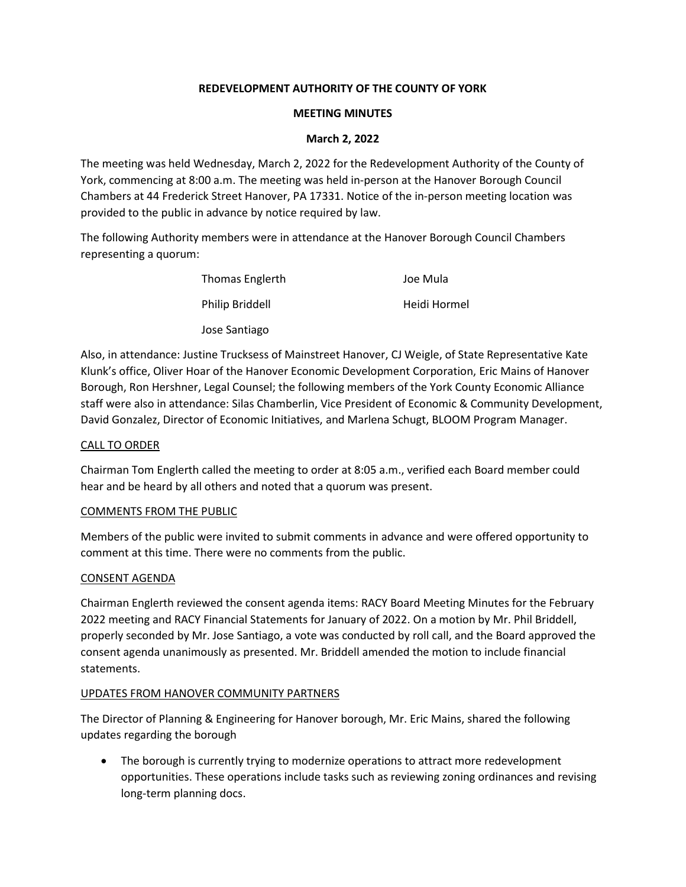## **REDEVELOPMENT AUTHORITY OF THE COUNTY OF YORK**

## **MEETING MINUTES**

## **March 2, 2022**

The meeting was held Wednesday, March 2, 2022 for the Redevelopment Authority of the County of York, commencing at 8:00 a.m. The meeting was held in-person at the Hanover Borough Council Chambers at 44 Frederick Street Hanover, PA 17331. Notice of the in-person meeting location was provided to the public in advance by notice required by law.

The following Authority members were in attendance at the Hanover Borough Council Chambers representing a quorum:

| <b>Thomas Englerth</b> | Joe Mula     |
|------------------------|--------------|
| <b>Philip Briddell</b> | Heidi Hormel |
| Jose Santiago          |              |

Also, in attendance: Justine Trucksess of Mainstreet Hanover, CJ Weigle, of State Representative Kate Klunk's office, Oliver Hoar of the Hanover Economic Development Corporation, Eric Mains of Hanover Borough, Ron Hershner, Legal Counsel; the following members of the York County Economic Alliance staff were also in attendance: Silas Chamberlin, Vice President of Economic & Community Development, David Gonzalez, Director of Economic Initiatives, and Marlena Schugt, BLOOM Program Manager.

## CALL TO ORDER

Chairman Tom Englerth called the meeting to order at 8:05 a.m., verified each Board member could hear and be heard by all others and noted that a quorum was present.

## COMMENTS FROM THE PUBLIC

Members of the public were invited to submit comments in advance and were offered opportunity to comment at this time. There were no comments from the public.

## CONSENT AGENDA

Chairman Englerth reviewed the consent agenda items: RACY Board Meeting Minutes for the February 2022 meeting and RACY Financial Statements for January of 2022. On a motion by Mr. Phil Briddell, properly seconded by Mr. Jose Santiago, a vote was conducted by roll call, and the Board approved the consent agenda unanimously as presented. Mr. Briddell amended the motion to include financial statements.

# UPDATES FROM HANOVER COMMUNITY PARTNERS

The Director of Planning & Engineering for Hanover borough, Mr. Eric Mains, shared the following updates regarding the borough

• The borough is currently trying to modernize operations to attract more redevelopment opportunities. These operations include tasks such as reviewing zoning ordinances and revising long-term planning docs.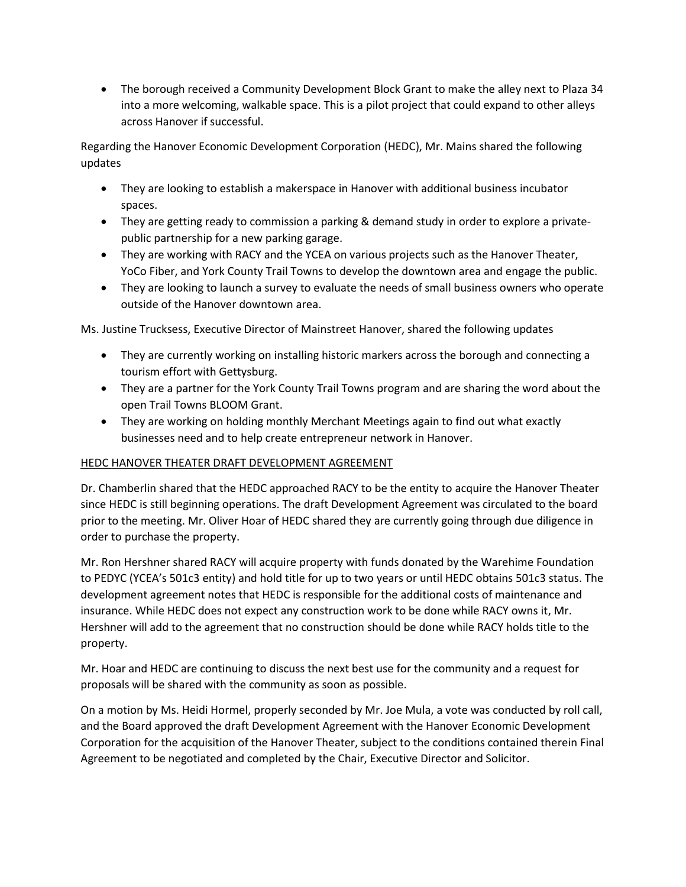• The borough received a Community Development Block Grant to make the alley next to Plaza 34 into a more welcoming, walkable space. This is a pilot project that could expand to other alleys across Hanover if successful.

Regarding the Hanover Economic Development Corporation (HEDC), Mr. Mains shared the following updates

- They are looking to establish a makerspace in Hanover with additional business incubator spaces.
- They are getting ready to commission a parking & demand study in order to explore a privatepublic partnership for a new parking garage.
- They are working with RACY and the YCEA on various projects such as the Hanover Theater, YoCo Fiber, and York County Trail Towns to develop the downtown area and engage the public.
- They are looking to launch a survey to evaluate the needs of small business owners who operate outside of the Hanover downtown area.

Ms. Justine Trucksess, Executive Director of Mainstreet Hanover, shared the following updates

- They are currently working on installing historic markers across the borough and connecting a tourism effort with Gettysburg.
- They are a partner for the York County Trail Towns program and are sharing the word about the open Trail Towns BLOOM Grant.
- They are working on holding monthly Merchant Meetings again to find out what exactly businesses need and to help create entrepreneur network in Hanover.

# HEDC HANOVER THEATER DRAFT DEVELOPMENT AGREEMENT

Dr. Chamberlin shared that the HEDC approached RACY to be the entity to acquire the Hanover Theater since HEDC is still beginning operations. The draft Development Agreement was circulated to the board prior to the meeting. Mr. Oliver Hoar of HEDC shared they are currently going through due diligence in order to purchase the property.

Mr. Ron Hershner shared RACY will acquire property with funds donated by the Warehime Foundation to PEDYC (YCEA's 501c3 entity) and hold title for up to two years or until HEDC obtains 501c3 status. The development agreement notes that HEDC is responsible for the additional costs of maintenance and insurance. While HEDC does not expect any construction work to be done while RACY owns it, Mr. Hershner will add to the agreement that no construction should be done while RACY holds title to the property.

Mr. Hoar and HEDC are continuing to discuss the next best use for the community and a request for proposals will be shared with the community as soon as possible.

On a motion by Ms. Heidi Hormel, properly seconded by Mr. Joe Mula, a vote was conducted by roll call, and the Board approved the draft Development Agreement with the Hanover Economic Development Corporation for the acquisition of the Hanover Theater, subject to the conditions contained therein Final Agreement to be negotiated and completed by the Chair, Executive Director and Solicitor.